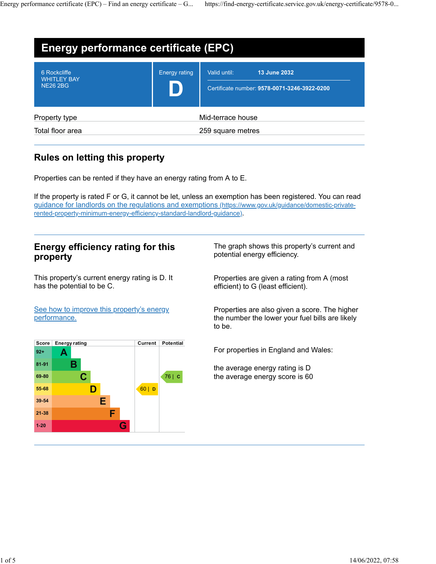Energy performance certificate (EPC) – Find an energy certificate – G... https://find-energy-certificate.service.gov.uk/energy-certificate/9578-0...

| <b>Energy performance certificate (EPC)</b>           |                      |                                                                              |  |
|-------------------------------------------------------|----------------------|------------------------------------------------------------------------------|--|
| 6 Rockcliffe<br><b>WHITLEY BAY</b><br><b>NE26 2BG</b> | <b>Energy rating</b> | 13 June 2032<br>Valid until:<br>Certificate number: 9578-0071-3246-3922-0200 |  |
| Property type                                         |                      | Mid-terrace house                                                            |  |
| Total floor area                                      | 259 square metres    |                                                                              |  |

## **Rules on letting this property**

Properties can be rented if they have an energy rating from A to E.

If the property is rated F or G, it cannot be let, unless an exemption has been registered. You can read [guidance for landlords on the regulations and exemptions \(https://www.gov.uk/guidance/domestic-private](https://www.gov.uk/guidance/domestic-private-rented-property-minimum-energy-efficiency-standard-landlord-guidance)[rented-property-minimum-energy-efficiency-standard-landlord-guidance\).](https://www.gov.uk/guidance/domestic-private-rented-property-minimum-energy-efficiency-standard-landlord-guidance)

### **Energy efficiency rating for this property**

This property's current energy rating is D. It has the potential to be C.

The graph shows this property's current and potential energy efficiency.

Properties are given a rating from A (most efficient) to G (least efficient).

[See how to improve this property's energy](https://find-energy-certificate.service.gov.uk/energy-certificate/9578-0071-3246-3922-0200?print=true#recommendations) [performance.](https://find-energy-certificate.service.gov.uk/energy-certificate/9578-0071-3246-3922-0200?print=true#recommendations)

| Score     | <b>Energy rating</b> |   | Current | <b>Potential</b> |
|-----------|----------------------|---|---------|------------------|
| $92 +$    | А                    |   |         |                  |
| $81 - 91$ | Β                    |   |         |                  |
| 69-80     | C.                   |   |         | 76   C           |
| 55-68     |                      |   | 60 D    |                  |
| 39-54     |                      | E |         |                  |
| $21 - 38$ |                      | F |         |                  |
| $1 - 20$  |                      | G |         |                  |

Properties are also given a score. The higher the number the lower your fuel bills are likely to be.

For properties in England and Wales:

the average energy rating is D the average energy score is 60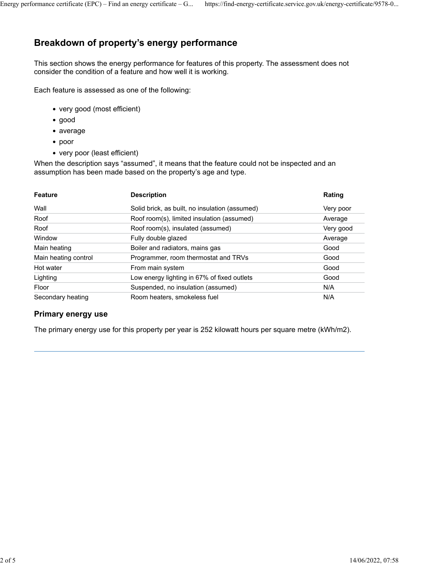# **Breakdown of property's energy performance**

This section shows the energy performance for features of this property. The assessment does not consider the condition of a feature and how well it is working.

Each feature is assessed as one of the following:

- very good (most efficient)
- good
- average
- poor
- very poor (least efficient)

When the description says "assumed", it means that the feature could not be inspected and an assumption has been made based on the property's age and type.

| <b>Feature</b>       | <b>Description</b>                             | Rating    |
|----------------------|------------------------------------------------|-----------|
| Wall                 | Solid brick, as built, no insulation (assumed) | Very poor |
| Roof                 | Roof room(s), limited insulation (assumed)     | Average   |
| Roof                 | Roof room(s), insulated (assumed)              | Very good |
| Window               | Fully double glazed                            | Average   |
| Main heating         | Boiler and radiators, mains gas                | Good      |
| Main heating control | Programmer, room thermostat and TRVs           | Good      |
| Hot water            | From main system                               | Good      |
| Lighting             | Low energy lighting in 67% of fixed outlets    | Good      |
| Floor                | Suspended, no insulation (assumed)             | N/A       |
| Secondary heating    | Room heaters, smokeless fuel                   | N/A       |

#### **Primary energy use**

The primary energy use for this property per year is 252 kilowatt hours per square metre (kWh/m2).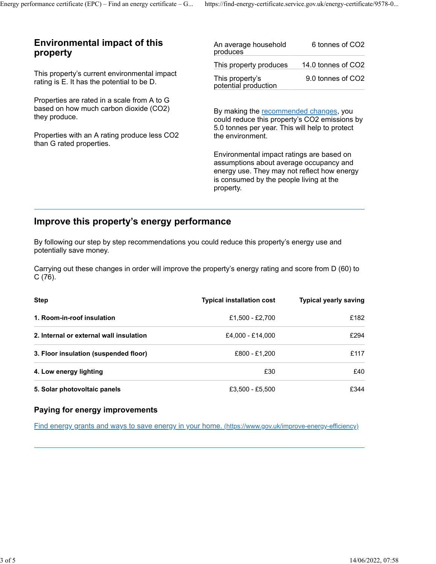## **Environmental impact of this property**

This property's current environmental impact rating is E. It has the potential to be D.

Properties are rated in a scale from A to G based on how much carbon dioxide (CO2) they produce.

Properties with an A rating produce less CO2 than G rated properties.

| An average household<br>produces        | 6 tonnes of CO2    |
|-----------------------------------------|--------------------|
| This property produces                  | 14.0 tonnes of CO2 |
| This property's<br>potential production | 9.0 tonnes of CO2  |

By making the **recommended** changes, you could reduce this property's CO2 emissions by 5.0 tonnes per year. This will help to protect the environment.

Environmental impact ratings are based on assumptions about average occupancy and energy use. They may not reflect how energy is consumed by the people living at the property.

## **Improve this property's energy performance**

By following our step by step recommendations you could reduce this property's energy use and potentially save money.

Carrying out these changes in order will improve the property's energy rating and score from D (60) to C (76).

| <b>Step</b>                             | <b>Typical installation cost</b> | <b>Typical yearly saving</b> |
|-----------------------------------------|----------------------------------|------------------------------|
| 1. Room-in-roof insulation              | £1,500 - £2,700                  | £182                         |
| 2. Internal or external wall insulation | £4,000 - £14,000                 | £294                         |
| 3. Floor insulation (suspended floor)   | £800 - £1,200                    | £117                         |
| 4. Low energy lighting                  | £30                              | £40                          |
| 5. Solar photovoltaic panels            | £3.500 - £5.500                  | £344                         |

#### **Paying for energy improvements**

[Find energy grants and ways to save energy in your home. \(https://www.gov.uk/improve-energy-efficiency\)](https://www.gov.uk/improve-energy-efficiency)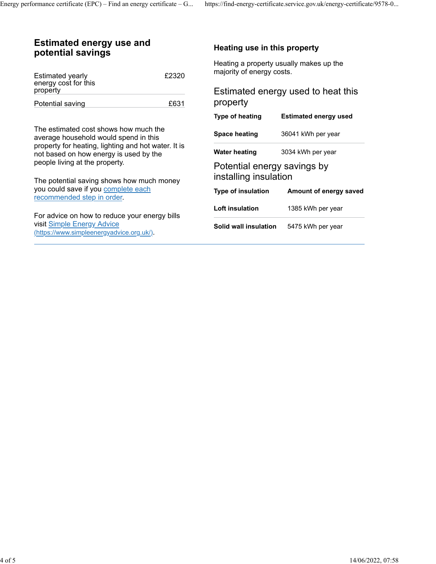### **Estimated energy use and potential savings**

| <b>Estimated yearly</b><br>energy cost for this<br>property | £2320 |
|-------------------------------------------------------------|-------|
| Potential saving                                            | £631  |

The estimated cost shows how much the average household would spend in this property for heating, lighting and hot water. It is not based on how energy is used by the people living at the property.

The potential saving shows how much money you could save if you [complete each](https://find-energy-certificate.service.gov.uk/energy-certificate/9578-0071-3246-3922-0200?print=true#recommendations) [recommended step in order.](https://find-energy-certificate.service.gov.uk/energy-certificate/9578-0071-3246-3922-0200?print=true#recommendations)

For advice on how to reduce your energy bills visit [Simple Energy Advice](https://www.simpleenergyadvice.org.uk/) [\(https://www.simpleenergyadvice.org.uk/\).](https://www.simpleenergyadvice.org.uk/)

### **Heating use in this property**

Heating a property usually makes up the majority of energy costs.

### Estimated energy used to heat this property

| <b>Type of heating</b>                               | <b>Estimated energy used</b> |  |  |
|------------------------------------------------------|------------------------------|--|--|
| Space heating                                        | 36041 kWh per year           |  |  |
| Water heating                                        | 3034 kWh per year            |  |  |
| Potential energy savings by<br>installing insulation |                              |  |  |
| Type of insulation                                   | Amount of energy saved       |  |  |
| Loft insulation                                      | 1385 kWh per year            |  |  |
| Solid wall insulation                                | 5475 kWh per year            |  |  |